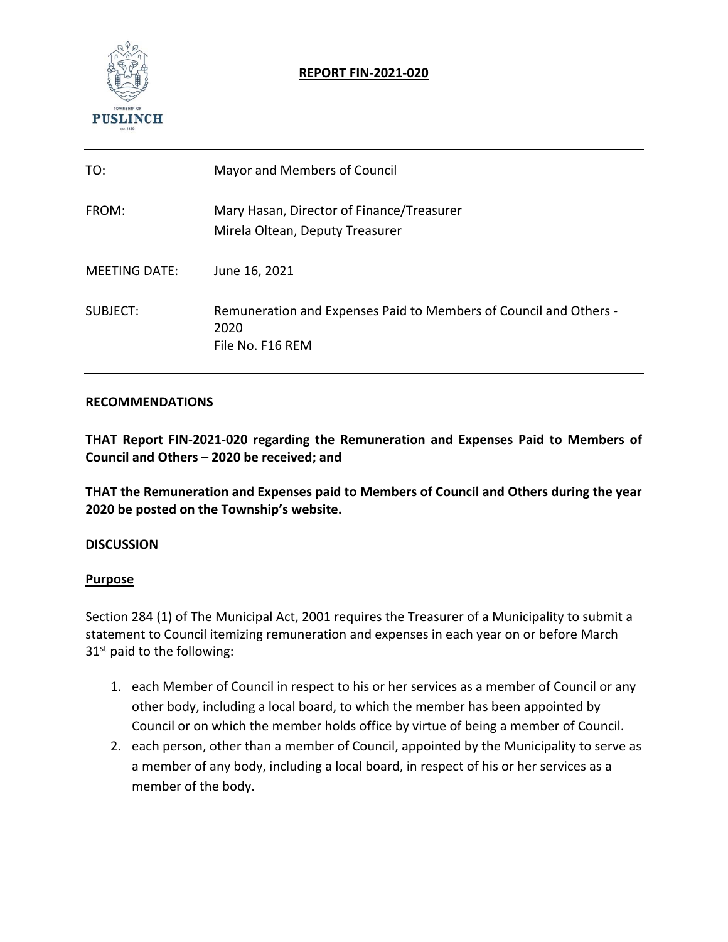

## **REPORT FIN‐2021‐020**

| TO:                  | Mayor and Members of Council                                                                  |
|----------------------|-----------------------------------------------------------------------------------------------|
| FROM:                | Mary Hasan, Director of Finance/Treasurer<br>Mirela Oltean, Deputy Treasurer                  |
| <b>MEETING DATE:</b> | June 16, 2021                                                                                 |
| SUBJECT:             | Remuneration and Expenses Paid to Members of Council and Others -<br>2020<br>File No. F16 REM |

#### **RECOMMENDATIONS**

**THAT Report FIN‐2021‐020 regarding the Remuneration and Expenses Paid to Members of Council and Others – 2020 be received; and** 

**THAT the Remuneration and Expenses paid to Members of Council and Others during the year 2020 be posted on the Township's website.** 

#### **DISCUSSION**

#### **Purpose**

Section 284 (1) of The Municipal Act, 2001 requires the Treasurer of a Municipality to submit a statement to Council itemizing remuneration and expenses in each year on or before March  $31<sup>st</sup>$  paid to the following:

- 1. each Member of Council in respect to his or her services as a member of Council or any other body, including a local board, to which the member has been appointed by Council or on which the member holds office by virtue of being a member of Council.
- 2. each person, other than a member of Council, appointed by the Municipality to serve as a member of any body, including a local board, in respect of his or her services as a member of the body.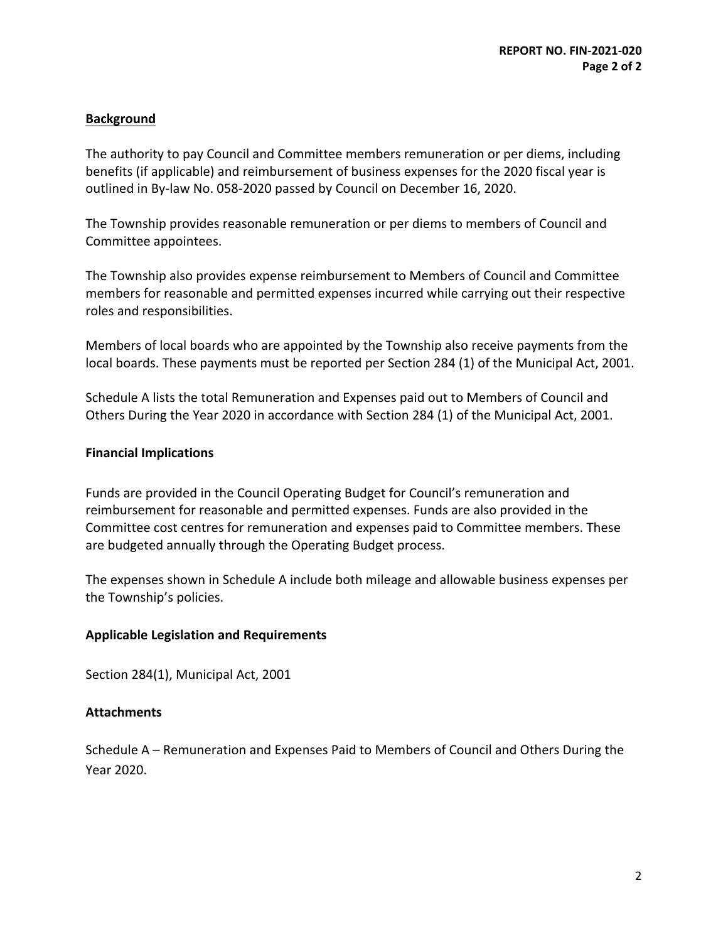### **Background**

The authority to pay Council and Committee members remuneration or per diems, including benefits (if applicable) and reimbursement of business expenses for the 2020 fiscal year is outlined in By‐law No. 058‐2020 passed by Council on December 16, 2020.

The Township provides reasonable remuneration or per diems to members of Council and Committee appointees.

The Township also provides expense reimbursement to Members of Council and Committee members for reasonable and permitted expenses incurred while carrying out their respective roles and responsibilities.

Members of local boards who are appointed by the Township also receive payments from the local boards. These payments must be reported per Section 284 (1) of the Municipal Act, 2001.

Schedule A lists the total Remuneration and Expenses paid out to Members of Council and Others During the Year 2020 in accordance with Section 284 (1) of the Municipal Act, 2001.

#### **Financial Implications**

Funds are provided in the Council Operating Budget for Council's remuneration and reimbursement for reasonable and permitted expenses. Funds are also provided in the Committee cost centres for remuneration and expenses paid to Committee members. These are budgeted annually through the Operating Budget process.

The expenses shown in Schedule A include both mileage and allowable business expenses per the Township's policies.

#### **Applicable Legislation and Requirements**

Section 284(1), Municipal Act, 2001

#### **Attachments**

Schedule A – Remuneration and Expenses Paid to Members of Council and Others During the Year 2020.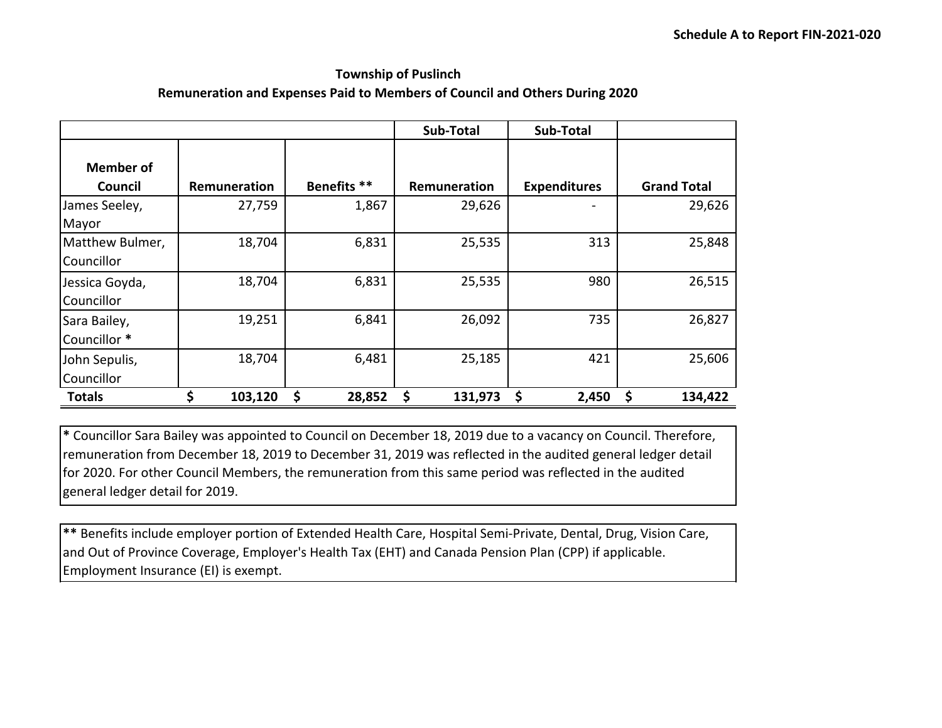#### **Township of Puslinch Remuneration and Expenses Paid to Members of Council and Others During 2020**

|                               |              |              | <b>Sub-Total</b> | Sub-Total           |                    |
|-------------------------------|--------------|--------------|------------------|---------------------|--------------------|
| <b>Member of</b><br>Council   | Remuneration | Benefits **  | Remuneration     | <b>Expenditures</b> | <b>Grand Total</b> |
| James Seeley,<br>Mayor        | 27,759       | 1,867        | 29,626           |                     | 29,626             |
| Matthew Bulmer,<br>Councillor | 18,704       | 6,831        | 25,535           | 313                 | 25,848             |
| Jessica Goyda,<br>Councillor  | 18,704       | 6,831        | 25,535           | 980                 | 26,515             |
| Sara Bailey,<br>Councillor *  | 19,251       | 6,841        | 26,092           | 735                 | 26,827             |
| John Sepulis,<br>Councillor   | 18,704       | 6,481        | 25,185           | 421                 | 25,606             |
| <b>Totals</b>                 | Ś<br>103,120 | \$<br>28,852 | \$<br>131,973    | \$<br>2,450         | 134,422            |

**\*** Councillor Sara Bailey was appointed to Council on December 18, 2019 due to a vacancy on Council. Therefore, remuneration from December 18, 2019 to December 31, 2019 was reflected in the audited general ledger detail for 2020. For other Council Members, the remuneration from this same period was reflected in the audited general ledger detail for 2019.

**\*\*** Benefits include employer portion of Extended Health Care, Hospital Semi‐Private, Dental, Drug, Vision Care, and Out of Province Coverage, Employer's Health Tax (EHT) and Canada Pension Plan (CPP) if applicable. Employment Insurance (EI) is exempt.